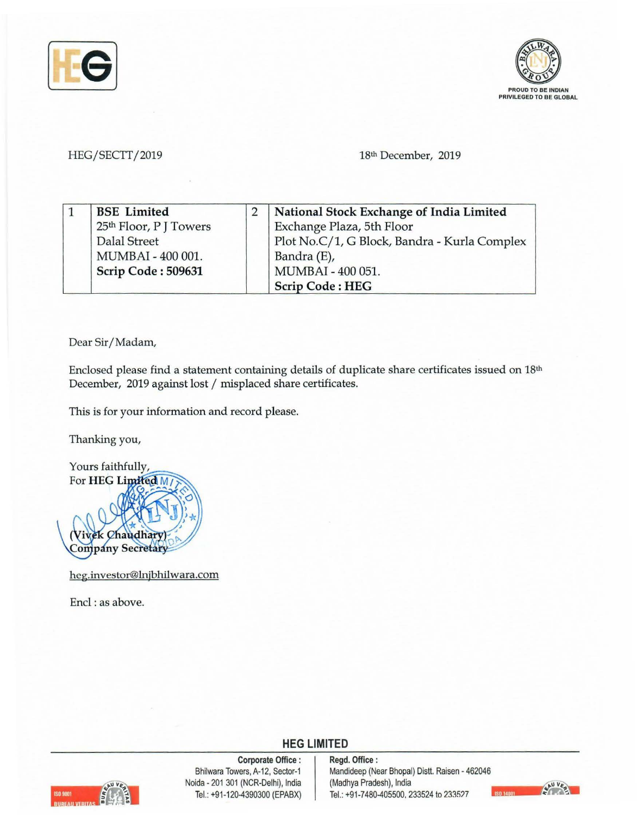



HEG/SECTT/2019 18th December, 2019

|  | <b>BSE</b> Limited                 | National Stock Exchange of India Limited     |
|--|------------------------------------|----------------------------------------------|
|  | 25 <sup>th</sup> Floor, P J Towers | Exchange Plaza, 5th Floor                    |
|  | <b>Dalal Street</b>                | Plot No.C/1, G Block, Bandra - Kurla Complex |
|  | MUMBAI - 400 001.                  | Bandra (E),                                  |
|  | Scrip Code: 509631                 | MUMBAI - 400 051.                            |
|  |                                    | <b>Scrip Code: HEG</b>                       |

Dear Sir/ Madam,

Enclosed please find a statement containing details of duplicate share certificates issued on 18th December, 2019 against lost / misplaced share certificates.

This is for your information and record please.

Thanking you,



heg.investor@lnjbhilwara.com

Encl : as above.



**Corporate Office** : Bhilwara Towers, A-12, Sector-1 Noida - 201 301 (NCR-Delhi), India Tel.: +91-120-4390300 (EPABX)

**HEG LIMITED Regd. Office** :

Mandideep (Near Bhopal) Distt. Raisen - 462046 (Madhya Pradesh), India Tel.: +91-7480-405500, 233524 to 233527 **150 14001**